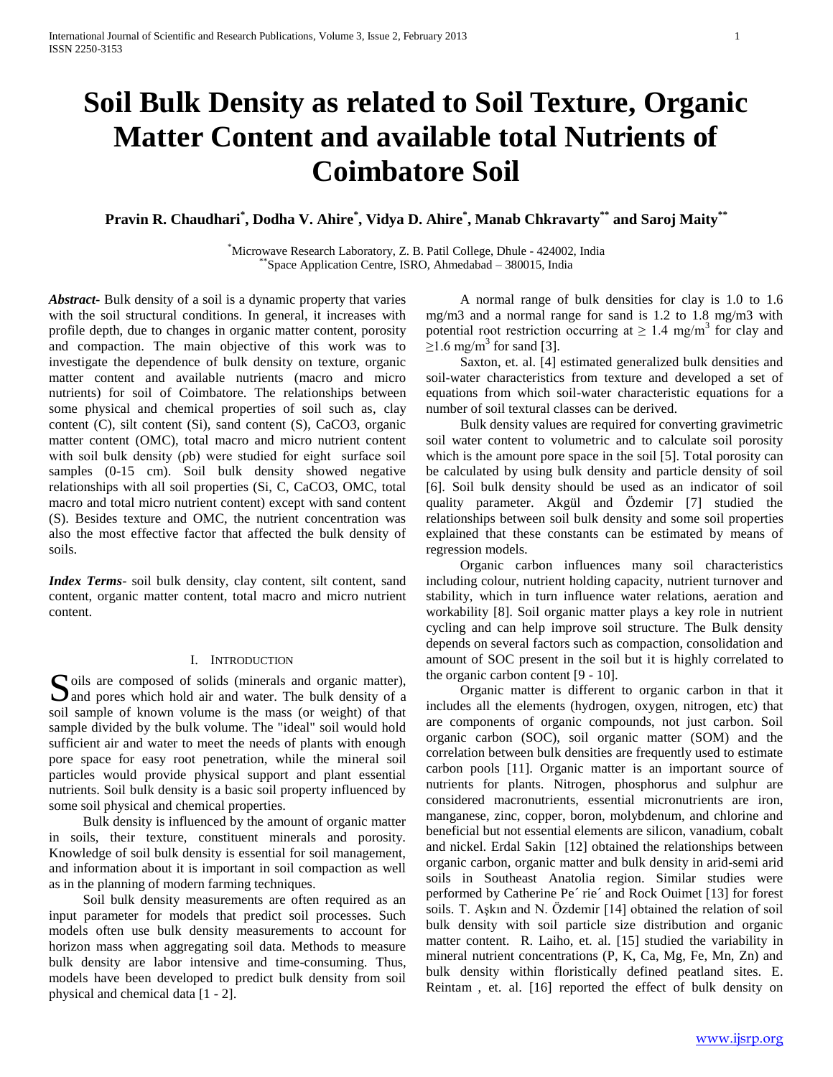# **Soil Bulk Density as related to Soil Texture, Organic Matter Content and available total Nutrients of Coimbatore Soil**

**Pravin R. Chaudhari\* , Dodha V. Ahire\* , Vidya D. Ahire\* , Manab Chkravarty\*\* and Saroj Maity\*\***

\*Microwave Research Laboratory, Z. B. Patil College, Dhule - 424002, India \*\*Space Application Centre, ISRO, Ahmedabad – 380015, India

*Abstract***-** Bulk density of a soil is a dynamic property that varies with the soil structural conditions. In general, it increases with profile depth, due to changes in organic matter content, porosity and compaction. The main objective of this work was to investigate the dependence of bulk density on texture, organic matter content and available nutrients (macro and micro nutrients) for soil of Coimbatore. The relationships between some physical and chemical properties of soil such as, clay content (C), silt content (Si), sand content (S), CaCO3, organic matter content (OMC), total macro and micro nutrient content with soil bulk density (ρb) were studied for eight surface soil samples (0-15 cm). Soil bulk density showed negative relationships with all soil properties (Si, C, CaCO3, OMC, total macro and total micro nutrient content) except with sand content (S). Besides texture and OMC, the nutrient concentration was also the most effective factor that affected the bulk density of soils.

*Index Terms*- soil bulk density, clay content, silt content, sand content, organic matter content, total macro and micro nutrient content.

#### I. INTRODUCTION

oils are composed of solids (minerals and organic matter), Soils are composed of solids (minerals and organic matter), and pores which hold air and water. The bulk density of a soil sample of known volume is the mass (or weight) of that sample divided by the bulk volume. The "ideal" soil would hold sufficient air and water to meet the needs of plants with enough pore space for easy root penetration, while the mineral soil particles would provide physical support and plant essential nutrients. Soil bulk density is a basic soil property influenced by some soil physical and chemical properties.

 Bulk density is influenced by the amount of organic matter in soils, their texture, constituent minerals and porosity. Knowledge of soil bulk density is essential for soil management, and information about it is important in soil compaction as well as in the planning of modern farming techniques.

 Soil bulk density measurements are often required as an input parameter for models that predict soil processes. Such models often use bulk density measurements to account for horizon mass when aggregating soil data. Methods to measure bulk density are labor intensive and time-consuming. Thus, models have been developed to predict bulk density from soil physical and chemical data [1 - 2].

 A normal range of bulk densities for clay is 1.0 to 1.6 mg/m3 and a normal range for sand is 1.2 to 1.8 mg/m3 with potential root restriction occurring at  $\geq 1.4$  mg/m<sup>3</sup> for clay and  $\geq$ 1.6 mg/m<sup>3</sup> for sand [3].

 Saxton, et. al. [4] estimated generalized bulk densities and soil-water characteristics from texture and developed a set of equations from which soil-water characteristic equations for a number of soil textural classes can be derived.

 Bulk density values are required for converting gravimetric soil water content to volumetric and to calculate soil porosity which is the amount pore space in the soil [5]. Total porosity can be calculated by using bulk density and particle density of soil [6]. Soil bulk density should be used as an indicator of soil quality parameter. Akgül and Özdemir [7] studied the relationships between soil bulk density and some soil properties explained that these constants can be estimated by means of regression models.

 Organic carbon influences many soil characteristics including colour, nutrient holding capacity, nutrient turnover and stability, which in turn influence water relations, aeration and workability [8]. Soil organic matter plays a key role in nutrient cycling and can help improve soil structure. The Bulk density depends on several factors such as compaction, consolidation and amount of SOC present in the soil but it is highly correlated to the organic carbon content [9 - 10].

 Organic matter is different to organic carbon in that it includes all the elements (hydrogen, oxygen, nitrogen, etc) that are components of organic compounds, not just carbon. Soil organic carbon (SOC), soil organic matter (SOM) and the correlation between bulk densities are frequently used to estimate carbon pools [11]. Organic matter is an important source of nutrients for plants. Nitrogen, phosphorus and sulphur are considered macronutrients, essential micronutrients are iron, manganese, zinc, copper, boron, molybdenum, and chlorine and beneficial but not essential elements are silicon, vanadium, cobalt and nickel. Erdal Sakin [12] obtained the relationships between organic carbon, organic matter and bulk density in arid-semi arid soils in Southeast Anatolia region. Similar studies were performed by Catherine Pe´ rie´ and Rock Ouimet [13] for forest soils. T. Aşkın and N. Özdemir [14] obtained the relation of soil bulk density with soil particle size distribution and organic matter content. R. Laiho, et. al. [15] studied the variability in mineral nutrient concentrations (P, K, Ca, Mg, Fe, Mn, Zn) and bulk density within floristically defined peatland sites. E. Reintam , et. al. [16] reported the effect of bulk density on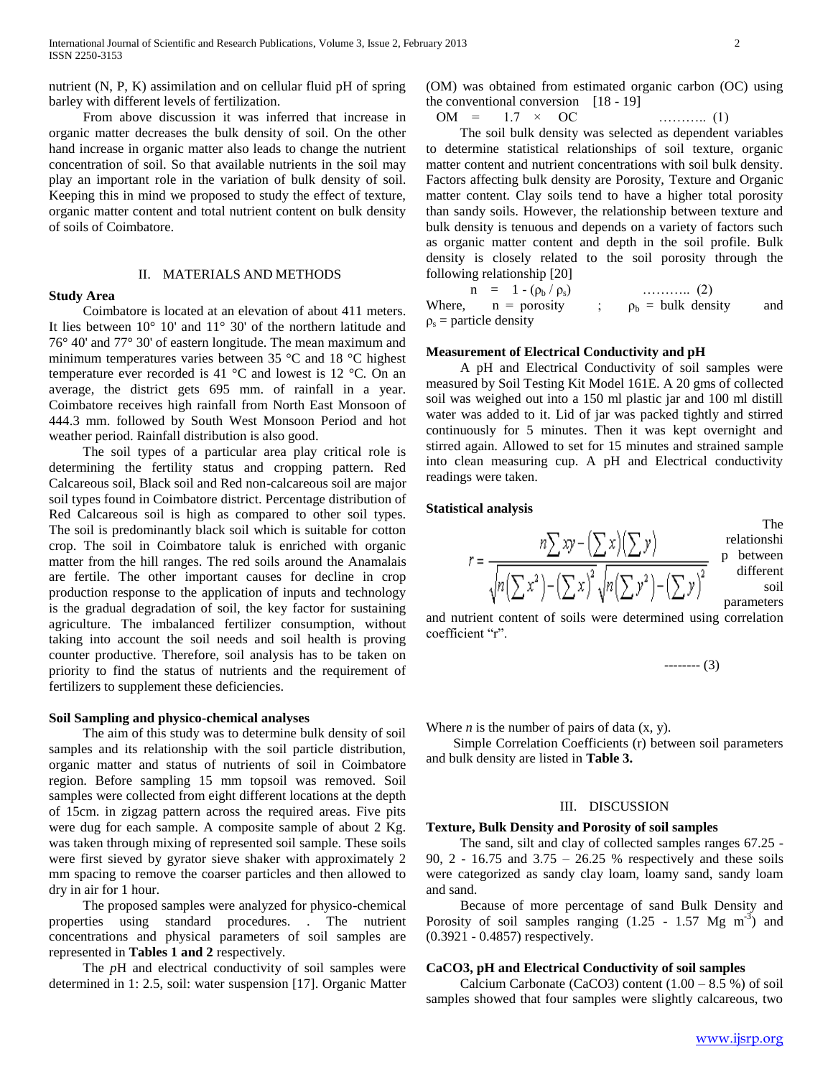nutrient (N, P, K) assimilation and on cellular fluid pH of spring barley with different levels of fertilization.

 From above discussion it was inferred that increase in organic matter decreases the bulk density of soil. On the other hand increase in organic matter also leads to change the nutrient concentration of soil. So that available nutrients in the soil may play an important role in the variation of bulk density of soil. Keeping this in mind we proposed to study the effect of texture, organic matter content and total nutrient content on bulk density of soils of Coimbatore.

## II. MATERIALS AND METHODS

**Study Area**

## Coimbatore is located at an elevation of about 411 meters. It lies between 10° 10' and 11° 30' of the northern latitude and 76° 40' and 77° 30' of eastern longitude. The mean maximum and minimum temperatures varies between 35 °C and 18 °C highest temperature ever recorded is 41 °C and lowest is 12 °C. On an average, the district gets 695 mm. of rainfall in a year. Coimbatore receives high rainfall from North East Monsoon of 444.3 mm. followed by South West Monsoon Period and hot weather period. Rainfall distribution is also good.

 The soil types of a particular area play critical role is determining the fertility status and cropping pattern. Red Calcareous soil, Black soil and Red non-calcareous soil are major soil types found in Coimbatore district. Percentage distribution of Red Calcareous soil is high as compared to other soil types. The soil is predominantly black soil which is suitable for cotton crop. The soil in Coimbatore taluk is enriched with organic matter from the hill ranges. The red soils around the Anamalais are fertile. The other important causes for decline in crop production response to the application of inputs and technology is the gradual degradation of soil, the key factor for sustaining agriculture. The imbalanced fertilizer consumption, without taking into account the soil needs and soil health is proving counter productive. Therefore, soil analysis has to be taken on priority to find the status of nutrients and the requirement of fertilizers to supplement these deficiencies.

#### **Soil Sampling and physico-chemical analyses**

 The aim of this study was to determine bulk density of soil samples and its relationship with the soil particle distribution, organic matter and status of nutrients of soil in Coimbatore region. Before sampling 15 mm topsoil was removed. Soil samples were collected from eight different locations at the depth of 15cm. in zigzag pattern across the required areas. Five pits were dug for each sample. A composite sample of about 2 Kg. was taken through mixing of represented soil sample. These soils were first sieved by gyrator sieve shaker with approximately 2 mm spacing to remove the coarser particles and then allowed to dry in air for 1 hour.

 The proposed samples were analyzed for physico-chemical properties using standard procedures. . The nutrient concentrations and physical parameters of soil samples are represented in **Tables 1 and 2** respectively.

 The *p*H and electrical conductivity of soil samples were determined in 1: 2.5, soil: water suspension [17]. Organic Matter (OM) was obtained from estimated organic carbon (OC) using the conventional conversion  $[18 - 19]$ 

OM = 1.7 × OC ……….. (1)

 The soil bulk density was selected as dependent variables to determine statistical relationships of soil texture, organic matter content and nutrient concentrations with soil bulk density. Factors affecting bulk density are Porosity, Texture and Organic matter content. Clay soils tend to have a higher total porosity than sandy soils. However, the relationship between texture and bulk density is tenuous and depends on a variety of factors such as organic matter content and depth in the soil profile. Bulk density is closely related to the soil porosity through the following relationship [20]

**n** =  $1 - (\rho_b / \rho_s)$  ……….. (2) Where,  $n = \text{porosity}$  ;  $\rho_b = \text{bulk density}$  and  $\rho_s$  = particle density

#### **Measurement of Electrical Conductivity and pH**

 A pH and Electrical Conductivity of soil samples were measured by Soil Testing Kit Model 161E. A 20 gms of collected soil was weighed out into a 150 ml plastic jar and 100 ml distill water was added to it. Lid of jar was packed tightly and stirred continuously for 5 minutes. Then it was kept overnight and stirred again. Allowed to set for 15 minutes and strained sample into clean measuring cup. A pH and Electrical conductivity readings were taken.

#### **Statistical analysis**

|         | 1. IIV       |
|---------|--------------|
| n<br>λ  | relationshi  |
|         | between<br>n |
|         | different    |
| x)<br>m | soil         |
|         | parameters   |

and nutrient content of soils were determined using correlation coefficient "r".

-------- (3)

The

Where *n* is the number of pairs of data  $(x, y)$ .

 Simple Correlation Coefficients (r) between soil parameters and bulk density are listed in **Table 3.** 

#### III. DISCUSSION

#### **Texture, Bulk Density and Porosity of soil samples**

 The sand, silt and clay of collected samples ranges 67.25 - 90, 2 - 16.75 and 3.75 – 26.25 % respectively and these soils were categorized as sandy clay loam, loamy sand, sandy loam and sand.

 Because of more percentage of sand Bulk Density and Porosity of soil samples ranging  $(1.25 - 1.57 \text{ Mg m}^{-3})$  and (0.3921 - 0.4857) respectively.

#### **CaCO3, pH and Electrical Conductivity of soil samples**

Calcium Carbonate (CaCO3) content  $(1.00 - 8.5\%)$  of soil samples showed that four samples were slightly calcareous, two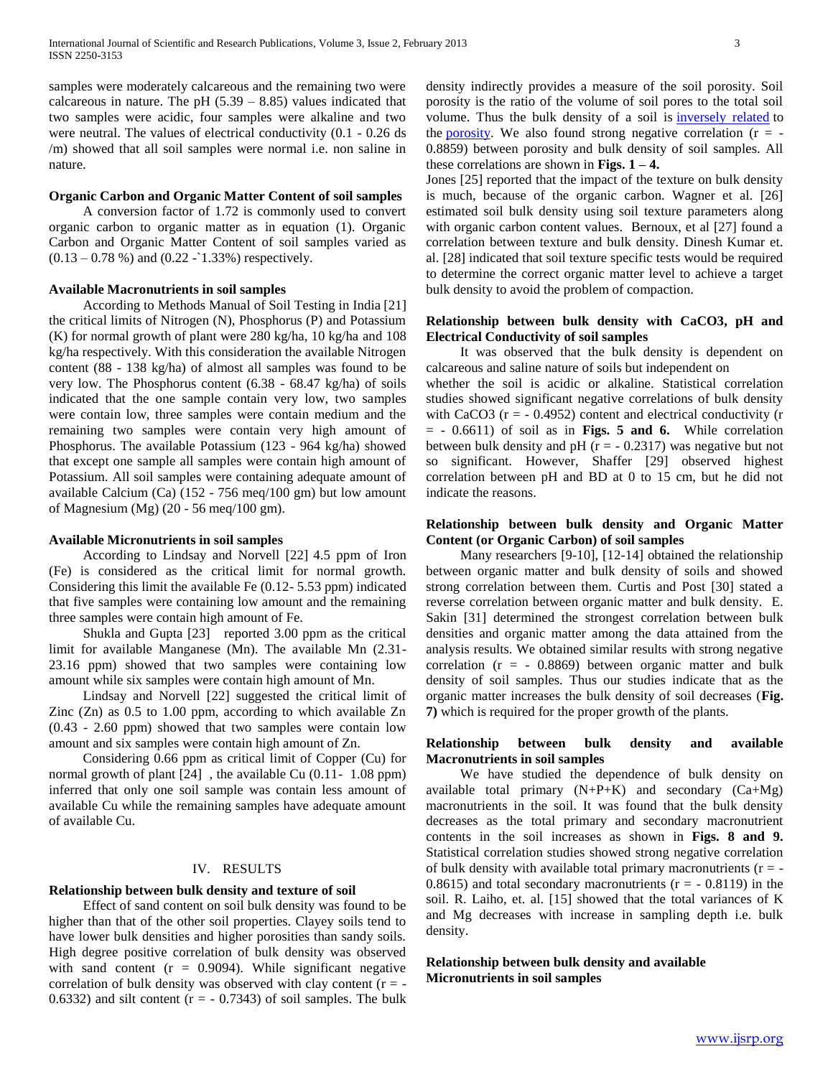samples were moderately calcareous and the remaining two were calcareous in nature. The pH  $(5.39 - 8.85)$  values indicated that two samples were acidic, four samples were alkaline and two were neutral. The values of electrical conductivity (0.1 - 0.26 ds /m) showed that all soil samples were normal i.e. non saline in nature.

#### **Organic Carbon and Organic Matter Content of soil samples**

 A conversion factor of 1.72 is commonly used to convert organic carbon to organic matter as in equation (1). Organic Carbon and Organic Matter Content of soil samples varied as  $(0.13 - 0.78 \%)$  and  $(0.22 - 1.33%)$  respectively.

#### **Available Macronutrients in soil samples**

 According to Methods Manual of Soil Testing in India [21] the critical limits of Nitrogen (N), Phosphorus (P) and Potassium (K) for normal growth of plant were 280 kg/ha, 10 kg/ha and 108 kg/ha respectively. With this consideration the available Nitrogen content (88 - 138 kg/ha) of almost all samples was found to be very low. The Phosphorus content (6.38 - 68.47 kg/ha) of soils indicated that the one sample contain very low, two samples were contain low, three samples were contain medium and the remaining two samples were contain very high amount of Phosphorus. The available Potassium (123 - 964 kg/ha) showed that except one sample all samples were contain high amount of Potassium. All soil samples were containing adequate amount of available Calcium (Ca) (152 - 756 meq/100 gm) but low amount of Magnesium (Mg) (20 - 56 meq/100 gm).

#### **Available Micronutrients in soil samples**

 According to Lindsay and Norvell [22] 4.5 ppm of Iron (Fe) is considered as the critical limit for normal growth. Considering this limit the available Fe (0.12- 5.53 ppm) indicated that five samples were containing low amount and the remaining three samples were contain high amount of Fe.

 Shukla and Gupta [23] reported 3.00 ppm as the critical limit for available Manganese (Mn). The available Mn (2.31- 23.16 ppm) showed that two samples were containing low amount while six samples were contain high amount of Mn.

 Lindsay and Norvell [22] suggested the critical limit of Zinc (Zn) as 0.5 to 1.00 ppm, according to which available Zn (0.43 - 2.60 ppm) showed that two samples were contain low amount and six samples were contain high amount of Zn.

 Considering 0.66 ppm as critical limit of Copper (Cu) for normal growth of plant [24] , the available Cu (0.11- 1.08 ppm) inferred that only one soil sample was contain less amount of available Cu while the remaining samples have adequate amount of available Cu.

#### IV. RESULTS

#### **Relationship between bulk density and texture of soil**

 Effect of sand content on soil bulk density was found to be higher than that of the other soil properties. Clayey soils tend to have lower bulk densities and higher porosities than sandy soils. High degree positive correlation of bulk density was observed with sand content  $(r = 0.9094)$ . While significant negative correlation of bulk density was observed with clay content  $(r = -$ 0.6332) and silt content  $(r = -0.7343)$  of soil samples. The bulk

density indirectly provides a measure of the soil porosity. Soil porosity is the ratio of the volume of soil pores to the total soil volume. Thus the bulk density of a soil is [inversely related](http://en.wikipedia.org/wiki/Inverse_relationship) to the [porosity.](http://en.wikipedia.org/wiki/Porosity) We also found strong negative correlation  $(r = -$ 0.8859) between porosity and bulk density of soil samples. All these correlations are shown in **Figs. 1 – 4.**

Jones [25] reported that the impact of the texture on bulk density is much, because of the organic carbon. Wagner et al. [26] estimated soil bulk density using soil texture parameters along with organic carbon content values. Bernoux, et al [27] found a correlation between texture and bulk density. Dinesh Kumar et. al. [28] indicated that soil texture specific tests would be required to determine the correct organic matter level to achieve a target bulk density to avoid the problem of compaction.

## **Relationship between bulk density with CaCO3, pH and Electrical Conductivity of soil samples**

 It was observed that the bulk density is dependent on calcareous and saline nature of soils but independent on

whether the soil is acidic or alkaline. Statistical correlation studies showed significant negative correlations of bulk density with CaCO3  $(r = -0.4952)$  content and electrical conductivity  $(r = 1.4952)$ = - 0.6611) of soil as in **Figs. 5 and 6.** While correlation between bulk density and pH  $(r = -0.2317)$  was negative but not so significant. However, Shaffer [29] observed highest correlation between pH and BD at 0 to 15 cm, but he did not indicate the reasons.

## **Relationship between bulk density and Organic Matter Content (or Organic Carbon) of soil samples**

 Many researchers [9-10], [12-14] obtained the relationship between organic matter and bulk density of soils and showed strong correlation between them. Curtis and Post [30] stated a reverse correlation between organic matter and bulk density. E. Sakin [31] determined the strongest correlation between bulk densities and organic matter among the data attained from the analysis results. We obtained similar results with strong negative correlation  $(r = -0.8869)$  between organic matter and bulk density of soil samples. Thus our studies indicate that as the organic matter increases the bulk density of soil decreases (**Fig. 7)** which is required for the proper growth of the plants.

### **Relationship between bulk density and available Macronutrients in soil samples**

 We have studied the dependence of bulk density on available total primary  $(N+P+K)$  and secondary  $(Ca+Mg)$ macronutrients in the soil. It was found that the bulk density decreases as the total primary and secondary macronutrient contents in the soil increases as shown in **Figs. 8 and 9.** Statistical correlation studies showed strong negative correlation of bulk density with available total primary macronutrients  $(r = -1)$ 0.8615) and total secondary macronutrients  $(r = -0.8119)$  in the soil. R. Laiho, et. al. [15] showed that the total variances of K and Mg decreases with increase in sampling depth i.e. bulk density.

**Relationship between bulk density and available Micronutrients in soil samples**

www.ijsrp.org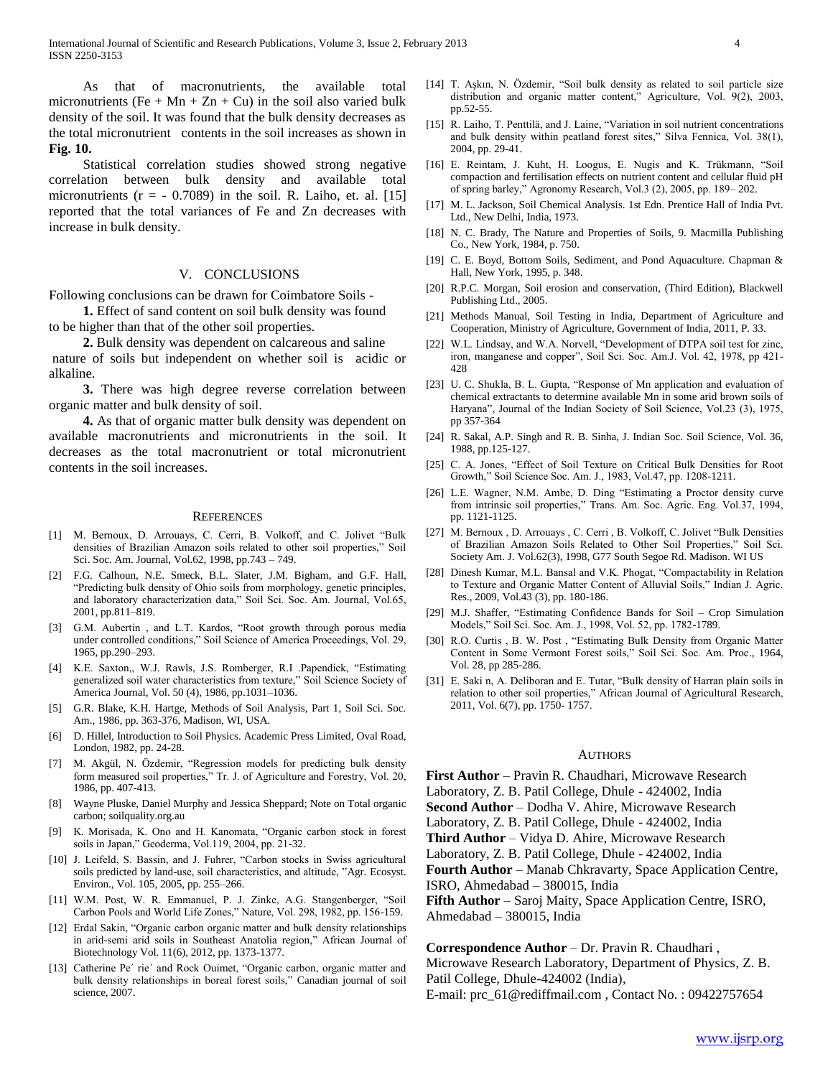As that of macronutrients, the available total micronutrients (Fe + Mn + Zn + Cu) in the soil also varied bulk density of the soil. It was found that the bulk density decreases as the total micronutrient contents in the soil increases as shown in **Fig. 10.**

 Statistical correlation studies showed strong negative correlation between bulk density and available total micronutrients ( $r = -0.7089$ ) in the soil. R. Laiho, et. al. [15] reported that the total variances of Fe and Zn decreases with increase in bulk density.

#### V. CONCLUSIONS

Following conclusions can be drawn for Coimbatore Soils -

 **1.** Effect of sand content on soil bulk density was found to be higher than that of the other soil properties.

 **2.** Bulk density was dependent on calcareous and saline nature of soils but independent on whether soil is acidic or alkaline.

 **3.** There was high degree reverse correlation between organic matter and bulk density of soil.

 **4.** As that of organic matter bulk density was dependent on available macronutrients and micronutrients in the soil. It decreases as the total macronutrient or total micronutrient contents in the soil increases.

#### **REFERENCES**

- [1] M. Bernoux, D. Arrouays, C. Cerri, B. Volkoff, and C. Jolivet "Bulk densities of Brazilian Amazon soils related to other soil properties," Soil Sci. Soc. Am. Journal, Vol.62, 1998, pp.743 – 749.
- [2] F.G. Calhoun, N.E. Smeck, B.L. Slater, J.M. Bigham, and G.F. Hall, "Predicting bulk density of Ohio soils from morphology, genetic principles, and laboratory characterization data," Soil Sci. Soc. Am. Journal, Vol.65, 2001, pp.811–819.
- [3] G.M. Aubertin, and L.T. Kardos, "Root growth through porous media under controlled conditions," Soil Science of America Proceedings, Vol. 29, 1965, pp.290–293.
- [4] K.E. Saxton,, W.J. Rawls, J.S. Romberger, R.I .Papendick, "Estimating generalized soil water characteristics from texture," Soil Science Society of America Journal, Vol. 50 (4), 1986, pp.1031–1036.
- [5] G.R. Blake, K.H. Hartge, Methods of Soil Analysis, Part 1, Soil Sci. Soc. Am., 1986, pp. 363-376, Madison, WI, USA.
- [6] D. Hillel, Introduction to Soil Physics. Academic Press Limited, Oval Road, London, 1982, pp. 24-28.
- [7] M. Akgül, N. Özdemir, "Regression models for predicting bulk density form measured soil properties," Tr. J. of Agriculture and Forestry, Vol. 20, 1986, pp. 407-413.
- [8] Wayne Pluske, Daniel Murphy and Jessica Sheppard; Note on Total organic carbon; soilquality.org.au
- [9] K. Morisada, K. Ono and H. Kanomata, "Organic carbon stock in forest soils in Japan," Geoderma, Vol.119, 2004, pp. 21-32.
- [10] J. Leifeld, S. Bassin, and J. Fuhrer, "Carbon stocks in Swiss agricultural soils predicted by land-use, soil characteristics, and altitude, "Agr. Ecosyst. Environ., Vol. 105, 2005, pp. 255–266.
- [11] W.M. Post, W. R. Emmanuel, P. J. Zinke, A.G. Stangenberger, "Soil Carbon Pools and World Life Zones," Nature, Vol. 298, 1982, pp. 156-159.
- [12] Erdal Sakin, "Organic carbon organic matter and bulk density relationships in arid-semi arid soils in Southeast Anatolia region," African Journal of Biotechnology Vol. 11(6), 2012, pp. 1373-1377.
- [13] Catherine Pe´ rie´ and Rock Ouimet, "Organic carbon, organic matter and bulk density relationships in boreal forest soils," Canadian journal of soil science, 2007.
- [14] T. Aşkın, N. Özdemir, "Soil bulk density as related to soil particle size distribution and organic matter content," Agriculture, Vol. 9(2), 2003, pp.52-55.
- [15] R. Laiho, T. Penttilä, and J. Laine, "Variation in soil nutrient concentrations and bulk density within peatland forest sites," Silva Fennica, Vol. 38(1), 2004, pp. 29-41.
- [16] E. Reintam, J. Kuht, H. Loogus, E. Nugis and K. Trükmann, "Soil compaction and fertilisation effects on nutrient content and cellular fluid pH of spring barley," Agronomy Research, Vol.3 (2), 2005, pp. 189– 202.
- [17] M. L. Jackson, Soil Chemical Analysis. 1st Edn. Prentice Hall of India Pvt. Ltd., New Delhi, India, 1973.
- [18] N. C. Brady, The Nature and Properties of Soils, 9. Macmilla Publishing Co., New York, 1984, p. 750.
- [19] C. E. Boyd, Bottom Soils, Sediment, and Pond Aquaculture. Chapman & Hall, New York, 1995, p. 348.
- [20] R.P.C. Morgan, Soil erosion and conservation, (Third Edition), Blackwell Publishing Ltd., 2005.
- [21] Methods Manual, Soil Testing in India, Department of Agriculture and Cooperation, Ministry of Agriculture, Government of India, 2011, P. 33.
- [22] W.L. Lindsay, and W.A. Norvell, "Development of DTPA soil test for zinc, iron, manganese and copper", Soil Sci. Soc. Am.J. Vol. 42, 1978, pp 421- 428
- [23] U. C. Shukla, B. L. Gupta, "Response of Mn application and evaluation of chemical extractants to determine available Mn in some arid brown soils of Haryana", Journal of the Indian Society of Soil Science, Vol.23 (3), 1975, pp 357-364
- [24] R. Sakal, A.P. Singh and R. B. Sinha, J. Indian Soc. Soil Science, Vol. 36, 1988, pp.125-127.
- [25] C. A. Jones, "Effect of Soil Texture on Critical Bulk Densities for Root Growth," Soil Science Soc. Am. J., 1983, Vol.47, pp. 1208-1211.
- [26] L.E. Wagner, N.M. Ambe, D. Ding "Estimating a Proctor density curve from intrinsic soil properties," Trans. Am. Soc. Agric. Eng. Vol.37, 1994, pp. 1121-1125.
- [27] M. Bernoux , D. Arrouays , C. Cerri , B. Volkoff, C. Jolivet "Bulk Densities of Brazilian Amazon Soils Related to Other Soil Properties," Soil Sci. Society Am. J. Vol.62(3), 1998, G77 South Segoe Rd. Madison. WI US
- [28] Dinesh Kumar, M.L. Bansal and V.K. Phogat, "Compactability in Relation to Texture and Organic Matter Content of Alluvial Soils," Indian J. Agric. Res., 2009, Vol.43 (3), pp. 180-186.
- [29] M.J. Shaffer, "Estimating Confidence Bands for Soil Crop Simulation Models," Soil Sci. Soc. Am. J., 1998, Vol. 52, pp. 1782-1789.
- [30] R.O. Curtis , B. W. Post , "Estimating Bulk Density from Organic Matter Content in Some Vermont Forest soils," Soil Sci. Soc. Am. Proc., 1964, Vol. 28, pp 285-286.
- [31] E. Saki n, A. Deliboran and E. Tutar, "Bulk density of Harran plain soils in relation to other soil properties," African Journal of Agricultural Research, 2011, Vol. 6(7), pp. 1750- 1757.

#### AUTHORS

**First Author** – Pravin R. Chaudhari, Microwave Research

Laboratory, Z. B. Patil College, Dhule - 424002, India

**Second Author** – Dodha V. Ahire, Microwave Research

Laboratory, Z. B. Patil College, Dhule - 424002, India

**Third Author** – Vidya D. Ahire, Microwave Research

Laboratory, Z. B. Patil College, Dhule - 424002, India

**Fourth Author** – Manab Chkravarty, Space Application Centre, ISRO, Ahmedabad – 380015, India

**Fifth Author** – Saroj Maity, Space Application Centre, ISRO, Ahmedabad – 380015, India

#### **Correspondence Author** – Dr. Pravin R. Chaudhari ,

Microwave Research Laboratory, Department of Physics, Z. B. Patil College, Dhule-424002 (India),

E-mail: prc\_61@rediffmail.com , Contact No. : 09422757654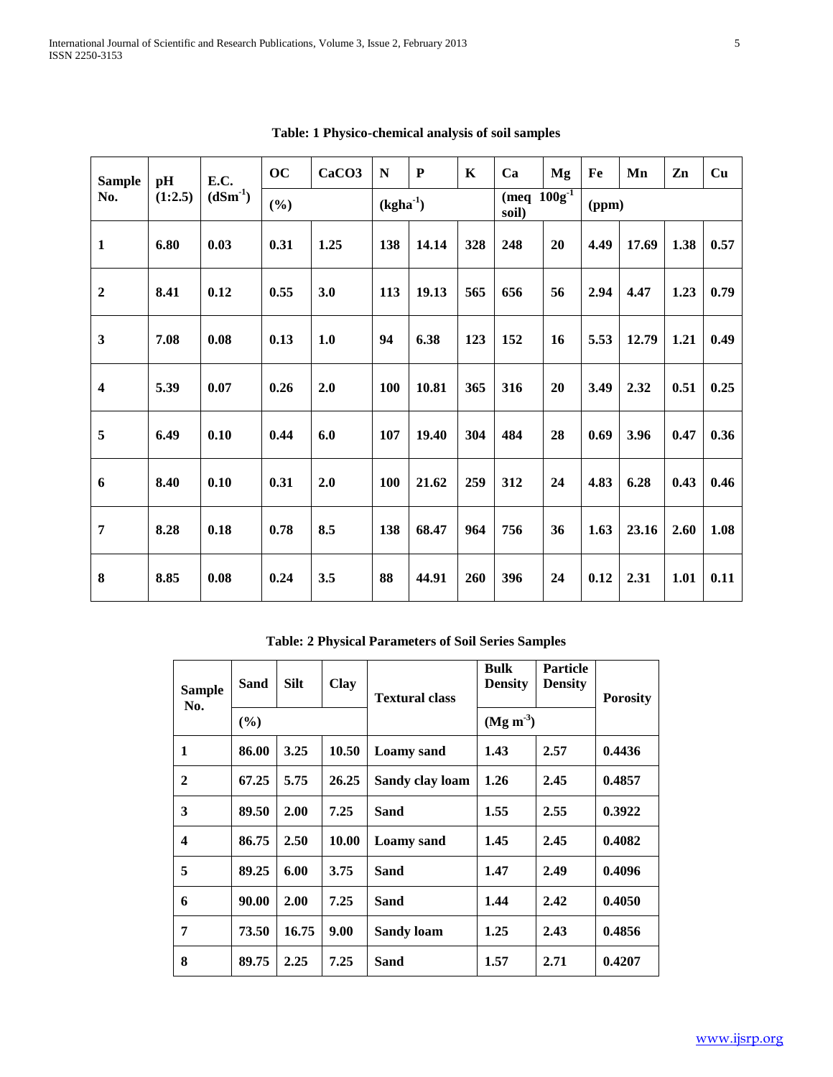| <b>Sample</b>                  | pH<br>E.C. | OC   | CaCO <sub>3</sub> | N          | ${\bf P}$ | $\mathbf K$                        | Ca  | Mg    | Fe | Mn   | Zn    | Cu   |      |
|--------------------------------|------------|------|-------------------|------------|-----------|------------------------------------|-----|-------|----|------|-------|------|------|
| $(dSm^{-1})$<br>No.<br>(1:2.5) |            | (%)  |                   | $(kgha-1)$ |           | $(meq \overline{100g}^T)$<br>soil) |     | (ppm) |    |      |       |      |      |
| $\mathbf{1}$                   | 6.80       | 0.03 | 0.31              | 1.25       | 138       | 14.14                              | 328 | 248   | 20 | 4.49 | 17.69 | 1.38 | 0.57 |
| $\overline{2}$                 | 8.41       | 0.12 | 0.55              | 3.0        | 113       | 19.13                              | 565 | 656   | 56 | 2.94 | 4.47  | 1.23 | 0.79 |
| $\overline{\mathbf{3}}$        | 7.08       | 0.08 | 0.13              | 1.0        | 94        | 6.38                               | 123 | 152   | 16 | 5.53 | 12.79 | 1.21 | 0.49 |
| $\overline{\mathbf{4}}$        | 5.39       | 0.07 | 0.26              | 2.0        | 100       | 10.81                              | 365 | 316   | 20 | 3.49 | 2.32  | 0.51 | 0.25 |
| 5                              | 6.49       | 0.10 | 0.44              | 6.0        | 107       | 19.40                              | 304 | 484   | 28 | 0.69 | 3.96  | 0.47 | 0.36 |
| 6                              | 8.40       | 0.10 | 0.31              | 2.0        | 100       | 21.62                              | 259 | 312   | 24 | 4.83 | 6.28  | 0.43 | 0.46 |
| $\overline{7}$                 | 8.28       | 0.18 | 0.78              | 8.5        | 138       | 68.47                              | 964 | 756   | 36 | 1.63 | 23.16 | 2.60 | 1.08 |
| 8                              | 8.85       | 0.08 | 0.24              | 3.5        | 88        | 44.91                              | 260 | 396   | 24 | 0.12 | 2.31  | 1.01 | 0.11 |

**Table: 1 Physico-chemical analysis of soil samples**

**Table: 2 Physical Parameters of Soil Series Samples**

| <b>Sample</b><br>No. | Sand   | <b>Silt</b> | <b>Clay</b> | <b>Textural class</b> | Bulk<br><b>Density</b> | <b>Particle</b><br><b>Density</b> | <b>Porosity</b> |  |
|----------------------|--------|-------------|-------------|-----------------------|------------------------|-----------------------------------|-----------------|--|
|                      | $($ %) |             |             |                       | $(Mg m-3)$             |                                   |                 |  |
| 1                    | 86.00  | 3.25        | 10.50       | Loamy sand            | 1.43                   | 2.57                              | 0.4436          |  |
| $\mathbf{2}$         | 67.25  | 5.75        | 26.25       | Sandy clay loam       | 1.26                   | 2.45                              | 0.4857          |  |
| 3                    | 89.50  | 2.00        | 7.25        | Sand                  | 1.55                   | 2.55                              | 0.3922          |  |
| 4                    | 86.75  | 2.50        | 10.00       | Loamy sand            | 1.45                   | 2.45                              | 0.4082          |  |
| 5                    | 89.25  | 6.00        | 3.75        | Sand                  | 1.47                   | 2.49                              | 0.4096          |  |
| 6                    | 90.00  | 2.00        | 7.25        | Sand                  | 1.44                   | 2.42                              | 0.4050          |  |
| 7                    | 73.50  | 16.75       | 9.00        | <b>Sandy loam</b>     | 1.25                   | 2.43                              | 0.4856          |  |
| 8                    | 89.75  | 2.25        | 7.25        | Sand                  | 1.57                   | 2.71                              | 0.4207          |  |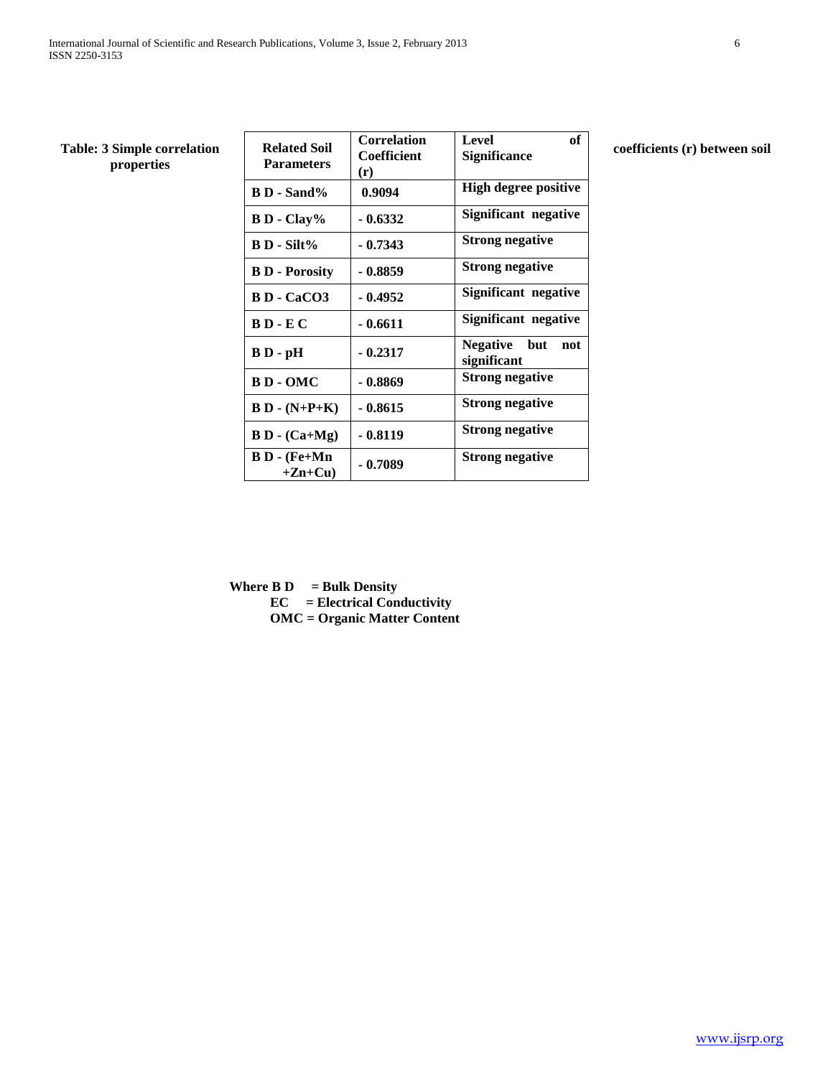| of | $\mathbf{C} = \mathbf{C} \mathbf{C} \mathbf{C} \mathbf{C} \mathbf{C} \mathbf{C} \mathbf{C} \mathbf{C} \mathbf{C} \mathbf{C} \mathbf{C} \mathbf{C} \mathbf{C} \mathbf{C} \mathbf{C} \mathbf{C} \mathbf{C} \mathbf{C} \mathbf{C} \mathbf{C} \mathbf{C} \mathbf{C} \mathbf{C} \mathbf{C} \mathbf{C} \mathbf{C} \mathbf{C} \mathbf{C} \mathbf{C} \mathbf{C} \mathbf{C} \mathbf{C} \mathbf{C} \mathbf{C} \mathbf{C} \mathbf$ |  |
|----|-------------------------------------------------------------------------------------------------------------------------------------------------------------------------------------------------------------------------------------------------------------------------------------------------------------------------------------------------------------------------------------------------------------------------|--|

## **properties**

| <b>Table: 3 Simple correlation</b><br>properties | <b>Related Soil</b><br><b>Parameters</b> | <b>Correlation</b><br>Coefficient<br>(r) | <b>Level</b><br>of<br><b>Significance</b> | coefficients (r) between soil |
|--------------------------------------------------|------------------------------------------|------------------------------------------|-------------------------------------------|-------------------------------|
|                                                  | <b>B D</b> - Sand%                       | 0.9094                                   | <b>High degree positive</b>               |                               |
|                                                  | $B D - Clay$ %                           | $-0.6332$                                | Significant negative                      |                               |
|                                                  | $B$ D - Silt%                            | $-0.7343$                                | <b>Strong negative</b>                    |                               |
|                                                  | <b>B D</b> - Porosity                    | $-0.8859$                                | <b>Strong negative</b>                    |                               |
|                                                  | <b>BD</b> - CaCO3                        | $-0.4952$                                | Significant negative                      |                               |
|                                                  | $B D - E C$                              | $-0.6611$                                | Significant negative                      |                               |
|                                                  | $B D - pH$                               | $-0.2317$                                | <b>Negative</b><br>but not<br>significant |                               |
|                                                  | <b>BD-OMC</b>                            | $-0.8869$                                | <b>Strong negative</b>                    |                               |
|                                                  | $B D - (N+P+K)$                          | $-0.8615$                                | <b>Strong negative</b>                    |                               |
|                                                  | $B D - (Ca+Mg)$                          | $-0.8119$                                | <b>Strong negative</b>                    |                               |
|                                                  | $B D - (Fe+Mn)$<br>$+Zn+Cu$              | $-0.7089$                                | <b>Strong negative</b>                    |                               |

**Where B D**  $=$  **Bulk Density EC = Electrical Conductivity OMC = Organic Matter Content**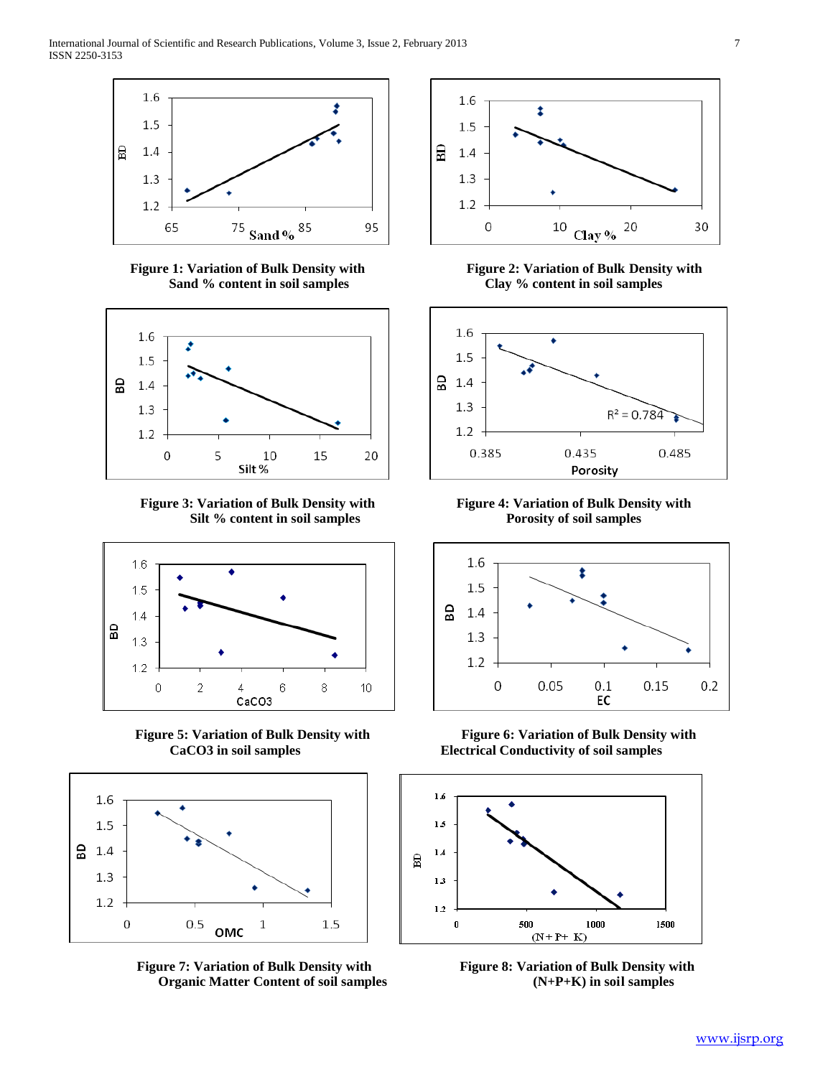

**Figure 1: Variation of Bulk Density with Figure 2: Variation of Bulk Density with**



**Figure 3: Variation of Bulk Density with Figure 4: Variation of Bulk Density with** Silt % content in soil samples Porosity of soil samples





**Figure 7: Variation of Bulk Density with Figure 8: Variation of Bulk Density with Organic Matter Content of soil samples (N+P+K) in soil samples**



**Sand % content in soil samples Clay % content in soil samples**





**Figure 5: Variation of Bulk Density with Figure 6: Variation of Bulk Density with CaCO3 in soil samples Electrical Conductivity of soil samples**